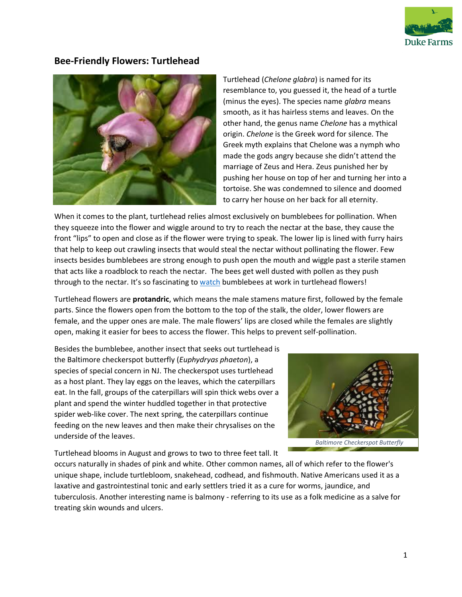

## **Bee-Friendly Flowers: Turtlehead**



Turtlehead (*Chelone glabra*) is named for its resemblance to, you guessed it, the head of a turtle (minus the eyes). The species name *glabra* means smooth, as it has hairless stems and leaves. On the other hand, the genus name *Chelone* has a mythical origin. *Chelone* is the Greek word for silence. The Greek myth explains that Chelone was a nymph who made the gods angry because she didn't attend the marriage of Zeus and Hera. Zeus punished her by pushing her house on top of her and turning her into a tortoise. She was condemned to silence and doomed to carry her house on her back for all eternity.

When it comes to the plant, turtlehead relies almost exclusively on bumblebees for pollination. When they squeeze into the flower and wiggle around to try to reach the nectar at the base, they cause the front "lips" to open and close as if the flower were trying to speak. The lower lip is lined with furry hairs that help to keep out crawling insects that would steal the nectar without pollinating the flower. Few insects besides bumblebees are strong enough to push open the mouth and wiggle past a sterile stamen that acts like a roadblock to reach the nectar. The bees get well dusted with pollen as they push through to the nectar. It's so fascinating to [watch](https://www.youtube.com/watch?v=4APlVDcB_2s) bumblebees at work in turtlehead flowers!

Turtlehead flowers are **protandric**, which means the male stamens mature first, followed by the female parts. Since the flowers open from the bottom to the top of the stalk, the older, lower flowers are female, and the upper ones are male. The male flowers' lips are closed while the females are slightly open, making it easier for bees to access the flower. This helps to prevent self-pollination.

Besides the bumblebee, another insect that seeks out turtlehead is the Baltimore checkerspot butterfly (*Euphydryas phaeton*), a species of special concern in NJ. The checkerspot uses turtlehead as a host plant. They lay eggs on the leaves, which the caterpillars eat. In the fall, groups of the caterpillars will spin thick webs over a plant and spend the winter huddled together in that protective spider web-like cover. The next spring, the caterpillars continue feeding on the new leaves and then make their chrysalises on the underside of the leaves.

Turtlehead blooms in August and grows to two to three feet tall. It



occurs naturally in shades of pink and white. Other common names, all of which refer to the flower's unique shape, include turtlebloom, snakehead, codhead, and fishmouth. Native Americans used it as a laxative and gastrointestinal tonic and early settlers tried it as a cure for worms, jaundice, and tuberculosis. Another interesting name is balmony - referring to its use as a folk medicine as a salve for treating skin wounds and ulcers.